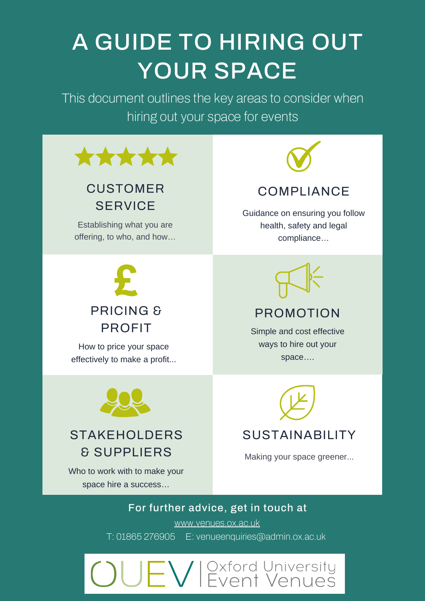# A GUIDE TO HIRING OUT YOUR SPACE

This document outlines the key areas to consider when hiring out your space for events



# CUSTOMER **SERVICE**

Establishing what you are offering, to who, and how…



How to price your space effectively to make a profit...



Guidance on ensuring you follow health, safety and legal compliance…



### PROMOTION

Simple and cost effective ways to hire out your space….



# STAKEHOLDERS & SUPPLIERS

Who to work with to make your space hire a success…



### SUSTAINABILITY

Making your space greener...

### For further advice, get in touch at

[www.venues.ox.ac.uk](http://www.venues.ox.ac.uk/)

T: 01865 276905 E: [venueenquiries@admin.ox.ac.uk](mailto:venueenquiries@admin.ox.ac.uk)

# $\equiv$   $\bigvee$   $\mid$   $\stackrel{\sim}{\sim}$   $\stackrel{\sim}{\sim}$   $\stackrel{\sim}{\sim}$   $\stackrel{\sim}{\sim}$   $\stackrel{\sim}{\sim}$   $\stackrel{\sim}{\sim}$   $\stackrel{\sim}{\sim}$   $\stackrel{\sim}{\sim}$   $\stackrel{\sim}{\sim}$   $\stackrel{\sim}{\sim}$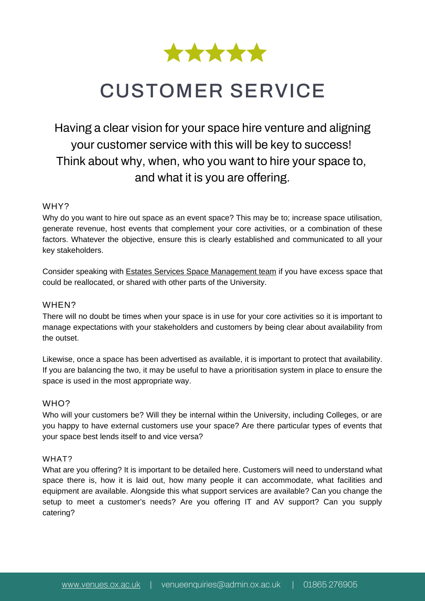

# CUSTOMER SERVICE

# Having a clear vision for your space hire venture and aligning your customer service with this will be key to success! Think about why, when, who you want to hire your space to, and what it is you are offering.

#### WHY?

Why do you want to hire out space as an event space? This may be to; increase space utilisation, generate revenue, host events that complement your core activities, or a combination of these factors. Whatever the objective, ensure this is clearly established and communicated to all your key stakeholders.

Consider speaking with Estates Services Space [Management](https://estates.admin.ox.ac.uk/space-information#/) team if you have excess space that could be reallocated, or shared with other parts of the University.

#### WHEN?

There will no doubt be times when your space is in use for your core activities so it is important to manage expectations with your stakeholders and customers by being clear about availability from the outset.

Likewise, once a space has been advertised as available, it is important to protect that availability. If you are balancing the two, it may be useful to have a prioritisation system in place to ensure the space is used in the most appropriate way.

#### WHO<sub>2</sub>

Who will your customers be? Will they be internal within the University, including Colleges, or are you happy to have external customers use your space? Are there particular types of events that your space best lends itself to and vice versa?

#### WHAT?

What are you offering? It is important to be detailed here. Customers will need to understand what space there is, how it is laid out, how many people it can accommodate, what facilities and equipment are available. Alongside this what support services are available? Can you change the setup to meet a customer's needs? Are you offering IT and AV support? Can you supply catering?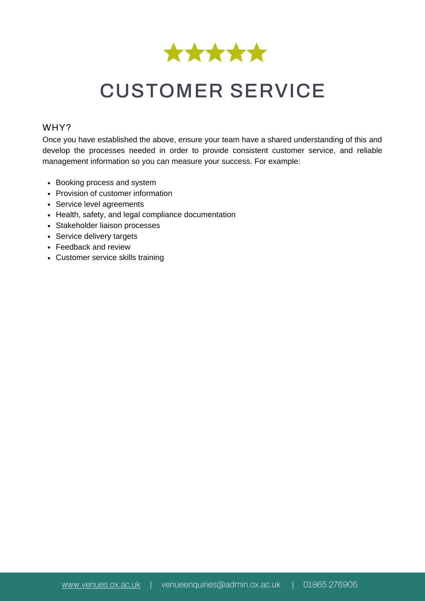

# CUSTOMER SERVICE

#### WHY?

Once you have established the above, ensure your team have a shared understanding of this and develop the processes needed in order to provide consistent customer service, and reliable management information so you can measure your success. For example:

- Booking process and system
- Provision of customer information
- Service level agreements
- Health, safety, and legal compliance documentation
- Stakeholder liaison processes
- Service delivery targets
- Feedback and review
- Customer service skills training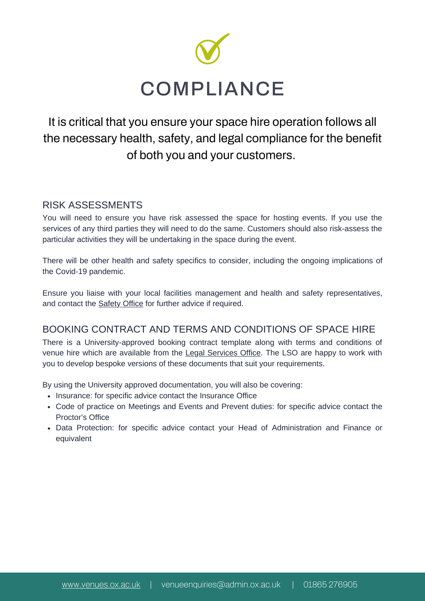

# It is critical that you ensure your space hire operation follows all the necessary health, safety, and legal compliance for the benefit of both you and your customers.

#### RISK ASSESSMENTS

You will need to ensure you have risk assessed the space for hosting events. If you use the services of any third parties they will need to do the same. Customers should also risk-assess the particular activities they will be undertaking in the space during the event.

There will be other health and safety specifics to consider, including the ongoing implications of the Covid-19 pandemic.

Ensure you liaise with your local facilities management and health and safety representatives, and contact the **[Safety](https://safety.admin.ox.ac.uk/home#/) Office** for further advice if required.

#### BOOKING CONTRACT AND TERMS AND CONDITIONS OF SPACE HIRE

There is a University-approved booking contract template along with terms and conditions of venue hire which are available from the Legal [Services](https://legal.admin.ox.ac.uk/home#/) Office. The LSO are happy to work with you to develop bespoke versions of these documents that suit your requirements.

By using the University approved documentation, you will also be covering:

- [Insurance](https://finance.admin.ox.ac.uk/insurance#/): for specific advice contact the Insurance Office
- Code of practice on Meetings and Events and Prevent duties: for specific advice contact the [Proctor's](https://www.proctors.ox.ac.uk/) Office
- Data Protection: for specific advice contact your Head of Administration and Finance or equivalent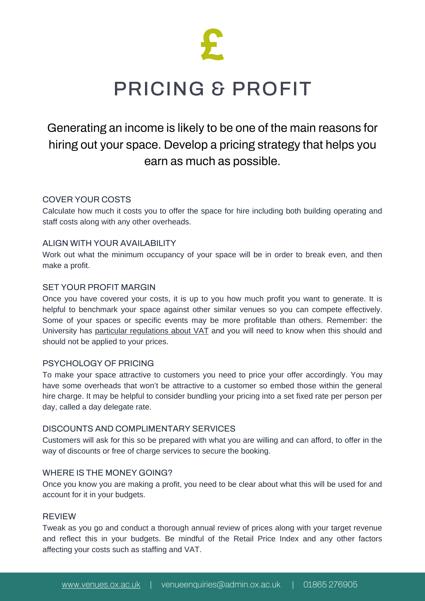

# PRICING & PROFIT

### Generating an income is likely to be one of the main reasons for hiring out your space. Develop a pricing strategy that helps you earn as much as possible.

#### COVER YOUR COSTS

Calculate how much it costs you to offer the space for hire including both building operating and staff costs along with any other overheads.

#### ALIGN WITH YOUR AVAILABILITY

Work out what the minimum occupancy of your space will be in order to break even, and then make a profit.

#### SET YOUR PROFIT MARGIN

Once you have covered your costs, it is up to you how much profit you want to generate. It is helpful to benchmark your space against other similar venues so you can compete effectively. Some of your spaces or specific events may be more profitable than others. Remember: the University has particular [regulations](https://finance.admin.ox.ac.uk/vat) about VAT and you will need to know when this should and should not be applied to your prices.

#### PSYCHOLOGY OF PRICING

To make your space attractive to customers you need to price your offer accordingly. You may have some overheads that won't be attractive to a customer so embed those within the general hire charge. It may be helpful to consider bundling your pricing into a set fixed rate per person per day, called a day delegate rate.

#### DISCOUNTS AND COMPLIMENTARY SERVICES

Customers will ask for this so be prepared with what you are willing and can afford, to offer in the way of discounts or free of charge services to secure the booking.

#### WHERE IS THE MONEY GOING?

Once you know you are making a profit, you need to be clear about what this will be used for and account for it in your budgets.

#### REVIEW

Tweak as you go and conduct a thorough annual review of prices along with your target revenue and reflect this in your budgets. Be mindful of the Retail Price Index and any other factors affecting your costs such as staffing and VAT.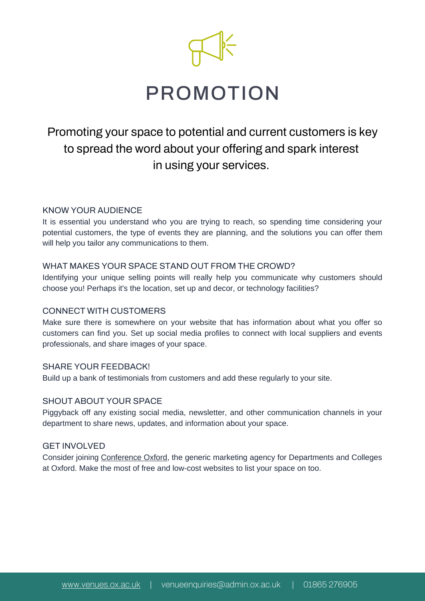

# PROMOTION

### Promoting your space to potential and current customers is key to spread the word about your offering and spark interest in using your services.

#### KNOW YOUR AUDIENCE

It is essential you understand who you are trying to reach, so spending time considering your potential customers, the type of events they are planning, and the solutions you can offer them will help you tailor any communications to them.

#### WHAT MAKES YOUR SPACE STAND OUT FROM THE CROWD?

Identifying your unique selling points will really help you communicate why customers should choose you! Perhaps it's the location, set up and decor, or technology facilities?

#### CONNECT WITH CUSTOMERS

Make sure there is somewhere on your website that has information about what you offer so customers can find you. Set up social media profiles to connect with local suppliers and events professionals, and share images of your space.

#### SHARE YOUR FEEDBACK!

Build up a bank of testimonials from customers and add these regularly to your site.

#### SHOUT ABOUT YOUR SPACE

Piggyback off any existing social media, newsletter, and other communication channels in your department to share news, updates, and information about your space.

#### GET INVOLVED

Consider joining [Conference](https://conference-oxford.com/) Oxford, the generic marketing agency for Departments and Colleges at Oxford. Make the most of free and low-cost websites to list your space on too.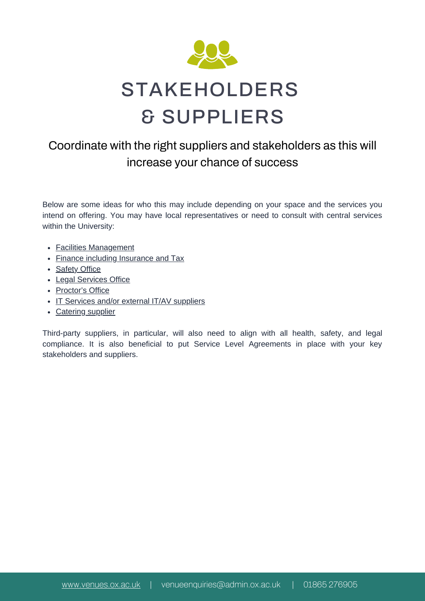

### Coordinate with the right suppliers and stakeholders as this will increase your chance of success

Below are some ideas for who this may include depending on your space and the services you intend on offering. You may have local representatives or need to consult with central services within the University:

- Facilities [Management](https://estates.admin.ox.ac.uk/facilities-management)
- Finance including [Insurance](https://finance.admin.ox.ac.uk/) and Tax
- [Safety](https://safety.admin.ox.ac.uk/home#/) Office
- Legal [Services](https://legal.admin.ox.ac.uk/home#/) Office
- [Proctor's](https://www.proctors.ox.ac.uk/) Office
- IT Services and/or external IT/AV [suppliers](https://www.it.ox.ac.uk/home#/)
- [Catering](https://estates.admin.ox.ac.uk/catering#/) supplier

Third-party suppliers, in particular, will also need to align with all health, safety, and legal compliance. It is also beneficial to put Service Level Agreements in place with your key stakeholders and suppliers.